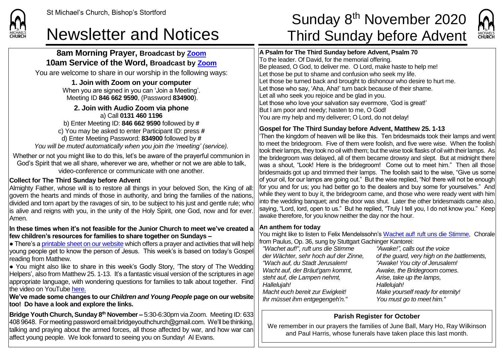# **8am Morning Prayer, Broadcast by [Zoom](https://zoom.us/) 10am Service of the Word, Broadcast by [Zoom](https://zoom.us/)**

You are welcome to share in our worship in the following ways:

**1. Join with Zoom on your computer** When you are signed in you can 'Join a Meeting'. Meeting ID **846 662 9590**, (Password **834900**).

#### **2. Join with Audio Zoom via phone**  a) Call **0131 460 1196**

b) Enter Meeting ID: **846 662 9590** followed by **#** c) You may be asked to enter Participant ID: press **#** d) Enter Meeting Password: **834900** followed by **#** *You will be muted automatically when you join the 'meeting' (service).*

Whether or not you might like to do this, let's be aware of the prayerful communion in God's Spirit that we all share, wherever we are, whether or not we are able to talk, video-conference or communicate with one another.

## **Collect for The Third Sunday before Advent**

Almighty Father, whose will is to restore all things in your beloved Son, the King of all: govern the hearts and minds of those in authority, and bring the families of the nations, divided and torn apart by the ravages of sin, to be subject to his just and gentle rule; who is alive and reigns with you, in the unity of the Holy Spirit, one God, now and for ever. Amen.

### **In these times when it's not feasible for the Junior Church to meet we've created a few children's resources for families to share together on Sundays –**

 $\bullet$  There's [a printable sheet on our website](https://saintmichaelweb.org.uk/Articles/542815/_Newsletter.aspx) which offers a prayer and activities that will help young people get to know the person of Jesus. This week's is based on today's Gospel reading from Matthew.

● You might also like to share in this week's Godly Story, 'The story of The Wedding Helpers', also from Matthew 25. 1-13. It's a fantastic visual version of the scriptures in age appropriate language, with wondering questions for families to talk about together. Find the video on YouTube [here.](https://www.youtube.com/watch?v=hhMR0wkXgTg)

**We've made some changes to our** *Children and Young People* **page on our website too! Do have a look and explore the links.**

**Bridge Youth Church, Sunday 8<sup>th</sup> November –** 5:30-6:30pm via Zoom. Meeting ID: 633 408 9648. For meeting password email:bridgeyouthchurch@gmail.com. We'll be thinking, talking and praying about the armed forces, all those affected by war, and how war can affect young people. We look forward to seeing you on Sunday! Al Evans.

# St Michael's Church, Bishop's Stortford  $\textsf{Sunday 8}^{\textsf{th}}$  November 2020 Newsletter and Notices Third Sunday before Advent



**A Psalm for The Third Sunday before Advent, Psalm 70** To the leader. Of David, for the memorial offering. Be pleased, O God, to deliver me. O Lord, make haste to help me! Let those be put to shame and confusion who seek my life. Let those be turned back and brought to dishonour who desire to hurt me. Let those who say, 'Aha, Aha!' turn back because of their shame. Let all who seek you rejoice and be glad in you. Let those who love your salvation say evermore, 'God is great!' But I am poor and needy; hasten to me, O God! You are my help and my deliverer; O Lord, do not delay!

## **Gospel for The Third Sunday before Advent, Matthew 25. 1-13**

'Then the kingdom of heaven will be like this. Ten bridesmaids took their lamps and went to meet the bridegroom. Five of them were foolish, and five were wise. When the foolish took their lamps, they took no oil with them; but the wise took flasks of oil with their lamps. As the bridegroom was delayed, all of them became drowsy and slept. But at midnight there was a shout, "Look! Here is the bridegroom! Come out to meet him." Then all those bridesmaids got up and trimmed their lamps. The foolish said to the wise, "Give us some of your oil, for our lamps are going out." But the wise replied, "No! there will not be enough for you and for us; you had better go to the dealers and buy some for yourselves." And while they went to buy it, the bridegroom came, and those who were ready went with him into the wedding banquet; and the door was shut. Later the other bridesmaids came also, saying, "Lord, lord, open to us." But he replied, "Truly I tell you, I do not know you." Keep awake therefore, for you know neither the day nor the hour.

### **An anthem for today**

You might like to listen to Felix Mendelssohn's [Wachet auf! ruft uns die Stimme,](https://www.youtube.com/watch?v=LjhkFMkUCrg) Chorale from Paulus, Op. 36, sung by Stuttgart Gachinger Kantorei:

*"Wachet auf!", ruft uns die Stimme der Wächter, sehr hoch auf der Zinne, "Wach auf, du Stadt Jerusalem! Wacht auf, der Bräut'gam kommt, steht auf, die Lampen nehmt, Hallelujah! Macht euch bereit zur Ewigkeit! Ihr müsset ihm entgegengeh'n."*

*"Awake!", calls out the voice of the guard, very high on the battlements, "Awake! You city of Jerusalem! Awake, the Bridegroom comes. Arise, take up the lamps, Hallelujah! Make yourself ready for eternity! You must go to meet him."*

# **Parish Register for October**

We remember in our prayers the families of June Ball, Mary Ho, Ray Wilkinson and Paul Harris, whose funerals have taken place this last month.